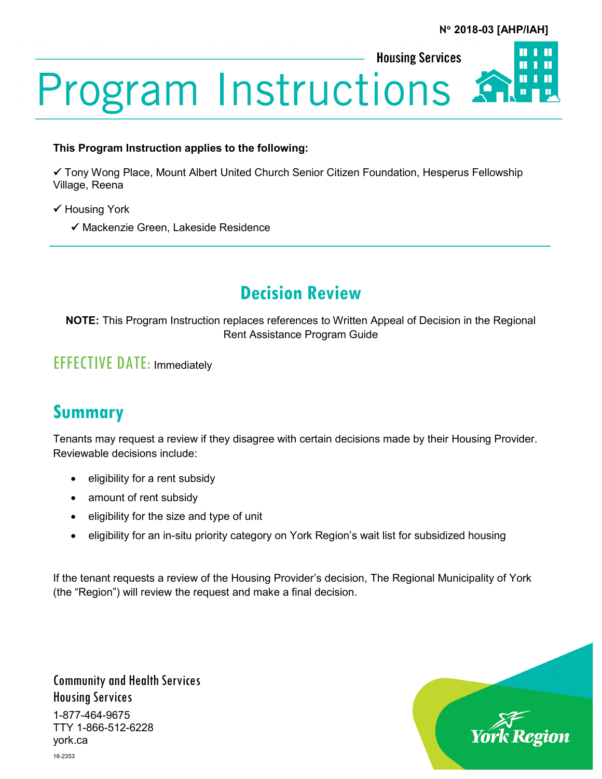**Housing Services** Ш Program Instructions Ш

#### **This Program Instruction applies to the following:**

 Tony Wong Place, Mount Albert United Church Senior Citizen Foundation, Hesperus Fellowship Village, Reena

- Housing York
	- $\checkmark$  Mackenzie Green, Lakeside Residence

## **Decision Review**

**NOTE:** This Program Instruction replaces references to Written Appeal of Decision in the Regional Rent Assistance Program Guide

### EFFECTIVE DATE: Immediately

## **Summary**

Tenants may request a review if they disagree with certain decisions made by their Housing Provider. Reviewable decisions include:

- eligibility for a rent subsidy
- amount of rent subsidy
- eligibility for the size and type of unit
- eligibility for an in-situ priority category on York Region's wait list for subsidized housing

If the tenant requests a review of the Housing Provider's decision, The Regional Municipality of York (the "Region") will review the request and make a final decision.

Community and Health Services Housing Services 1-877-464-9675 TTY 1-866-512-6228 york.ca 18-2353

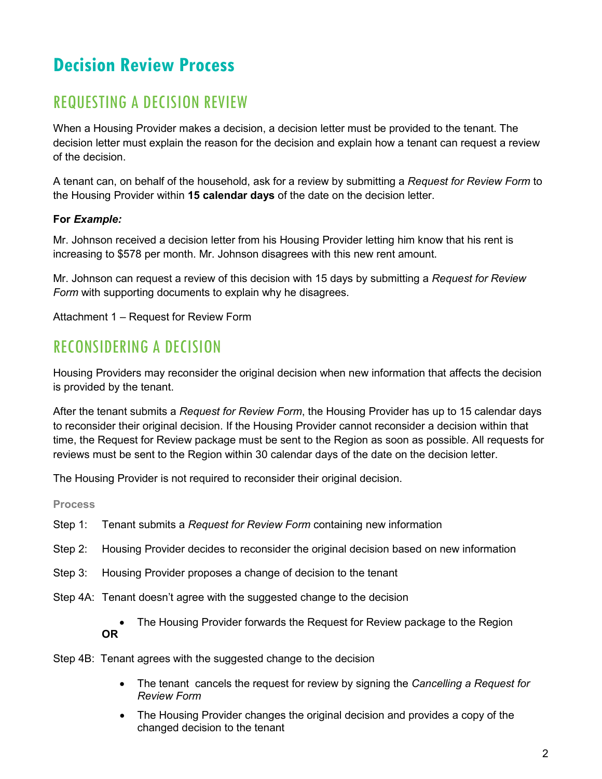# **Decision Review Process**

## REQUESTING A DECISION REVIEW

When a Housing Provider makes a decision, a decision letter must be provided to the tenant. The decision letter must explain the reason for the decision and explain how a tenant can request a review of the decision.

A tenant can, on behalf of the household, ask for a review by submitting a *Request for Review Form* to the Housing Provider within **15 calendar days** of the date on the decision letter.

#### **For** *Example:*

Mr. Johnson received a decision letter from his Housing Provider letting him know that his rent is increasing to \$578 per month. Mr. Johnson disagrees with this new rent amount.

Mr. Johnson can request a review of this decision with 15 days by submitting a *Request for Review Form* with supporting documents to explain why he disagrees.

Attachment 1 – Request for Review Form

## RECONSIDERING A DECISION

Housing Providers may reconsider the original decision when new information that affects the decision is provided by the tenant.

After the tenant submits a *Request for Review Form*, the Housing Provider has up to 15 calendar days to reconsider their original decision. If the Housing Provider cannot reconsider a decision within that time, the Request for Review package must be sent to the Region as soon as possible. All requests for reviews must be sent to the Region within 30 calendar days of the date on the decision letter.

The Housing Provider is not required to reconsider their original decision.

#### **Process**

- Step 1: Tenant submits a *Request for Review Form* containing new information
- Step 2: Housing Provider decides to reconsider the original decision based on new information
- Step 3: Housing Provider proposes a change of decision to the tenant
- Step 4A: Tenant doesn't agree with the suggested change to the decision
	- The Housing Provider forwards the Request for Review package to the Region **OR**
- Step 4B: Tenant agrees with the suggested change to the decision
	- The tenant cancels the request for review by signing the *Cancelling a Request for Review Form*
	- The Housing Provider changes the original decision and provides a copy of the changed decision to the tenant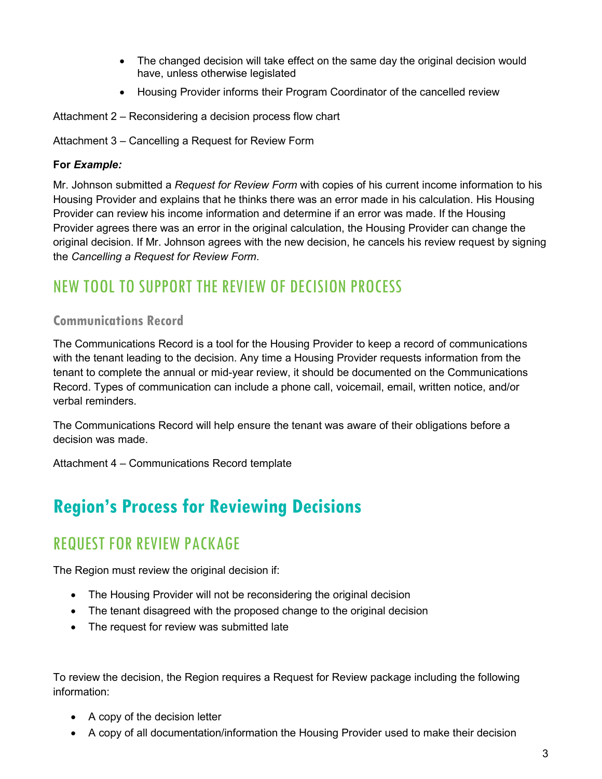- The changed decision will take effect on the same day the original decision would have, unless otherwise legislated
- Housing Provider informs their Program Coordinator of the cancelled review

Attachment 2 – Reconsidering a decision process flow chart

Attachment 3 – Cancelling a Request for Review Form

#### **For** *Example:*

Mr. Johnson submitted a *Request for Review Form* with copies of his current income information to his Housing Provider and explains that he thinks there was an error made in his calculation. His Housing Provider can review his income information and determine if an error was made. If the Housing Provider agrees there was an error in the original calculation, the Housing Provider can change the original decision. If Mr. Johnson agrees with the new decision, he cancels his review request by signing the *Cancelling a Request for Review Form*.

### NEW TOOL TO SUPPORT THE REVIEW OF DECISION PROCESS

#### **Communications Record**

The Communications Record is a tool for the Housing Provider to keep a record of communications with the tenant leading to the decision. Any time a Housing Provider requests information from the tenant to complete the annual or mid-year review, it should be documented on the Communications Record. Types of communication can include a phone call, voicemail, email, written notice, and/or verbal reminders.

The Communications Record will help ensure the tenant was aware of their obligations before a decision was made.

Attachment 4 – Communications Record template

## **Region's Process for Reviewing Decisions**

### REQUEST FOR REVIEW PACKAGE

The Region must review the original decision if:

- The Housing Provider will not be reconsidering the original decision
- The tenant disagreed with the proposed change to the original decision
- The request for review was submitted late

To review the decision, the Region requires a Request for Review package including the following information:

- A copy of the decision letter
- A copy of all documentation/information the Housing Provider used to make their decision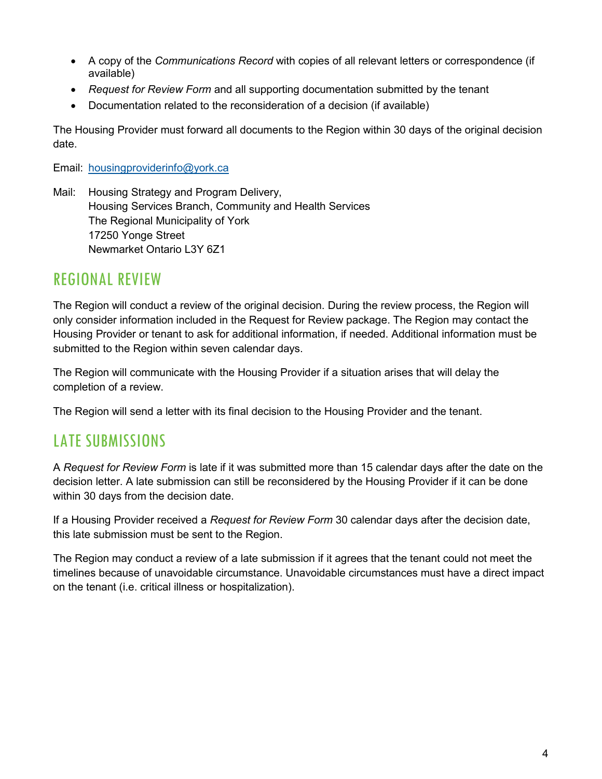- A copy of the *Communications Record* with copies of all relevant letters or correspondence (if available)
- *Request for Review Form* and all supporting documentation submitted by the tenant
- Documentation related to the reconsideration of a decision (if available)

The Housing Provider must forward all documents to the Region within 30 days of the original decision date.

Email: [housingproviderinfo@york.ca](mailto:housingproviderinfo@york.ca)

Mail: Housing Strategy and Program Delivery, Housing Services Branch, Community and Health Services The Regional Municipality of York 17250 Yonge Street Newmarket Ontario L3Y 6Z1

### REGIONAL REVIEW

The Region will conduct a review of the original decision. During the review process, the Region will only consider information included in the Request for Review package. The Region may contact the Housing Provider or tenant to ask for additional information, if needed. Additional information must be submitted to the Region within seven calendar days.

The Region will communicate with the Housing Provider if a situation arises that will delay the completion of a review.

The Region will send a letter with its final decision to the Housing Provider and the tenant.

### LATE SUBMISSIONS

A *Request for Review Form* is late if it was submitted more than 15 calendar days after the date on the decision letter. A late submission can still be reconsidered by the Housing Provider if it can be done within 30 days from the decision date.

If a Housing Provider received a *Request for Review Form* 30 calendar days after the decision date, this late submission must be sent to the Region.

The Region may conduct a review of a late submission if it agrees that the tenant could not meet the timelines because of unavoidable circumstance. Unavoidable circumstances must have a direct impact on the tenant (i.e. critical illness or hospitalization).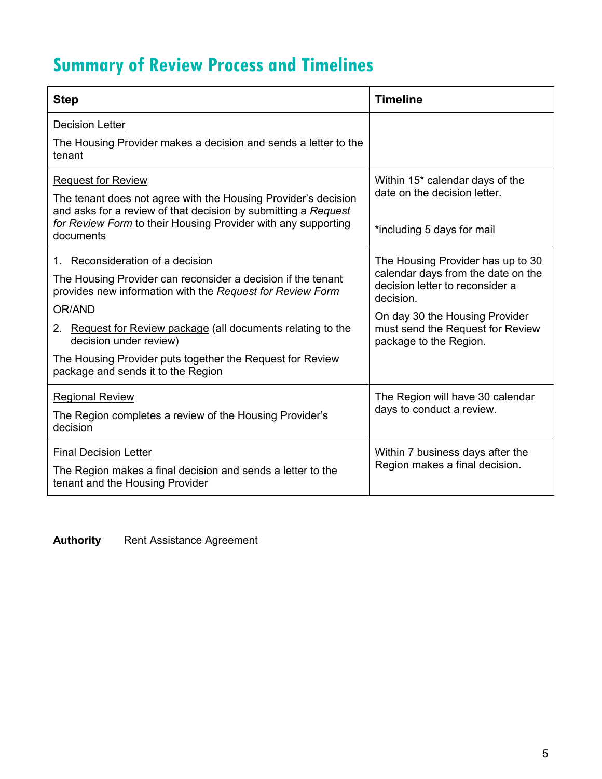# **Summary of Review Process and Timelines**

| <b>Step</b>                                                                                                                                                                                                                                                                                                                                                          | <b>Timeline</b>                                                                                                                                                                                                         |
|----------------------------------------------------------------------------------------------------------------------------------------------------------------------------------------------------------------------------------------------------------------------------------------------------------------------------------------------------------------------|-------------------------------------------------------------------------------------------------------------------------------------------------------------------------------------------------------------------------|
| <b>Decision Letter</b><br>The Housing Provider makes a decision and sends a letter to the<br>tenant                                                                                                                                                                                                                                                                  |                                                                                                                                                                                                                         |
| <b>Request for Review</b><br>The tenant does not agree with the Housing Provider's decision<br>and asks for a review of that decision by submitting a Request<br>for Review Form to their Housing Provider with any supporting<br>documents                                                                                                                          | Within 15* calendar days of the<br>date on the decision letter.<br>*including 5 days for mail                                                                                                                           |
| 1. Reconsideration of a decision<br>The Housing Provider can reconsider a decision if the tenant<br>provides new information with the Request for Review Form<br>OR/AND<br>2. Request for Review package (all documents relating to the<br>decision under review)<br>The Housing Provider puts together the Request for Review<br>package and sends it to the Region | The Housing Provider has up to 30<br>calendar days from the date on the<br>decision letter to reconsider a<br>decision.<br>On day 30 the Housing Provider<br>must send the Request for Review<br>package to the Region. |
| <b>Regional Review</b><br>The Region completes a review of the Housing Provider's<br>decision                                                                                                                                                                                                                                                                        | The Region will have 30 calendar<br>days to conduct a review.                                                                                                                                                           |
| <b>Final Decision Letter</b><br>The Region makes a final decision and sends a letter to the<br>tenant and the Housing Provider                                                                                                                                                                                                                                       | Within 7 business days after the<br>Region makes a final decision.                                                                                                                                                      |

**Authority** Rent Assistance Agreement